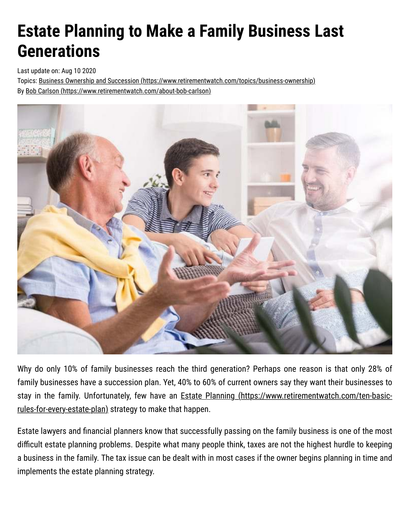## **Estate Planning to Make a Family Business Last Generations**

Last update on: Aug 10 2020

Topics: [Business Ownership and Succession \(https://www.retirementwatch.com/topics/business-ownership\)](https://www.retirementwatch.com/topics/business-ownership) By [Bob Carlson \(https://www.retirementwatch.com/about-bob-carlson\)](https://www.retirementwatch.com/about-bob-carlson)



Why do only 10% of family businesses reach the third generation? Perhaps one reason is that only 28% of family businesses have a succession plan. Yet, 40% to 60% of current owners say they want their businesses to stay in the family. Unfortunately, few have an **Estate Planning (https://www.retirementwatch.com/ten-basic**rules-for-every-estate-plan) strategy to make that happen.

Estate lawyers and financial planners know that successfully passing on the family business is one of the most difficult estate planning problems. Despite what many people think, taxes are not the highest hurdle to keeping a business in the family. The tax issue can be dealt with in most cases if the owner begins planning in time and implements the estate planning strategy.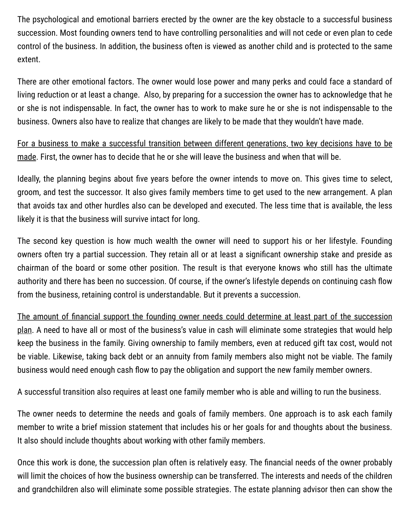The psychological and emotional barriers erected by the owner are the key obstacle to a successful business succession. Most founding owners tend to have controlling personalities and will not cede or even plan to cede control of the business. In addition, the business often is viewed as another child and is protected to the same extent.

There are other emotional factors. The owner would lose power and many perks and could face a standard of living reduction or at least a change. Also, by preparing for a succession the owner has to acknowledge that he or she is not indispensable. In fact, the owner has to work to make sure he or she is not indispensable to the business. Owners also have to realize that changes are likely to be made that they wouldn't have made.

For a business to make a successful transition between different generations, two key decisions have to be made. First, the owner has to decide that he or she will leave the business and when that will be.

Ideally, the planning begins about five years before the owner intends to move on. This gives time to select, groom, and test the successor. It also gives family members time to get used to the new arrangement. A plan that avoids tax and other hurdles also can be developed and executed. The less time that is available, the less likely it is that the business will survive intact for long.

The second key question is how much wealth the owner will need to support his or her lifestyle. Founding owners often try a partial succession. They retain all or at least a significant ownership stake and preside as chairman of the board or some other position. The result is that everyone knows who still has the ultimate authority and there has been no succession. Of course, if the owner's lifestyle depends on continuing cash flow from the business, retaining control is understandable. But it prevents a succession.

The amount of financial support the founding owner needs could determine at least part of the succession plan. A need to have all or most of the business's value in cash will eliminate some strategies that would help keep the business in the family. Giving ownership to family members, even at reduced gift tax cost, would not be viable. Likewise, taking back debt or an annuity from family members also might not be viable. The family business would need enough cash flow to pay the obligation and support the new family member owners.

A successful transition also requires at least one family member who is able and willing to run the business.

The owner needs to determine the needs and goals of family members. One approach is to ask each family member to write a brief mission statement that includes his or her goals for and thoughts about the business. It also should include thoughts about working with other family members.

Once this work is done, the succession plan often is relatively easy. The financial needs of the owner probably will limit the choices of how the business ownership can be transferred. The interests and needs of the children and grandchildren also will eliminate some possible strategies. The estate planning advisor then can show the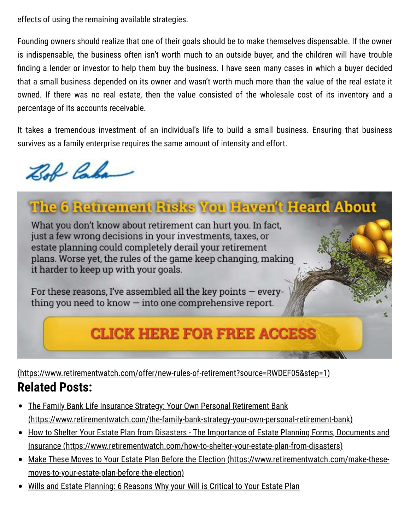effects of using the remaining available strategies.

Founding owners should realize that one of their goals should be to make themselves dispensable. If the owner is indispensable, the business often isn't worth much to an outside buyer, and the children will have trouble finding a lender or investor to help them buy the business. I have seen many cases in which a buyer decided that a small business depended on its owner and wasn't worth much more than the value of the real estate it owned. If there was no real estate, then the value consisted of the wholesale cost of its inventory and a percentage of its accounts receivable.

It takes a tremendous investment of an individual's life to build a small business. Ensuring that business survives as a family enterprise requires the same amount of intensity and effort.

Bob Caba

## The 6 Retirement Risks You Haven't Heard About

What you don't know about retirement can hurt you. In fact, just a few wrong decisions in your investments, taxes, or estate planning could completely derail your retirement plans. Worse yet, the rules of the game keep changing, making it harder to keep up with your goals.

For these reasons, I've assembled all the key points - everything you need to know  $-$  into one comprehensive report.

## **CLICK HERE FOR FREE ACCESS**

[\(https://www.retirementwatch.com/offer/new-rules-of-retirement?source=RWDEF05&step=1\)](https://www.retirementwatch.com/offer/new-rules-of-retirement?source=RWDEF05&step=1)

## **Related Posts:**

- The Family Bank Life Insurance Strategy: Your Own Personal Retirement Bank  $\bullet$ [\(https://www.retirementwatch.com/the-family-bank-strategy-your-own-personal-retirement-bank\)](https://www.retirementwatch.com/the-family-bank-strategy-your-own-personal-retirement-bank)
- [How to Shelter Your Estate Plan from Disasters The Importance of Estate Planning Forms, Documents and](https://www.retirementwatch.com/how-to-shelter-your-estate-plan-from-disasters) Insurance (https://www.retirementwatch.com/how-to-shelter-your-estate-plan-from-disasters)
- [Make These Moves to Your Estate Plan Before the Election \(https://www.retirementwatch.com/make-these](https://www.retirementwatch.com/make-these-moves-to-your-estate-plan-before-the-election)moves-to-your-estate-plan-before-the-election)
- [Wills and Estate Planning: 6 Reasons Why your Will is Critical to Your Estate Plan](https://www.retirementwatch.com/wills-and-estate-planning-6-reasons-why-your-will-is-critical-to-your-estate-plan)